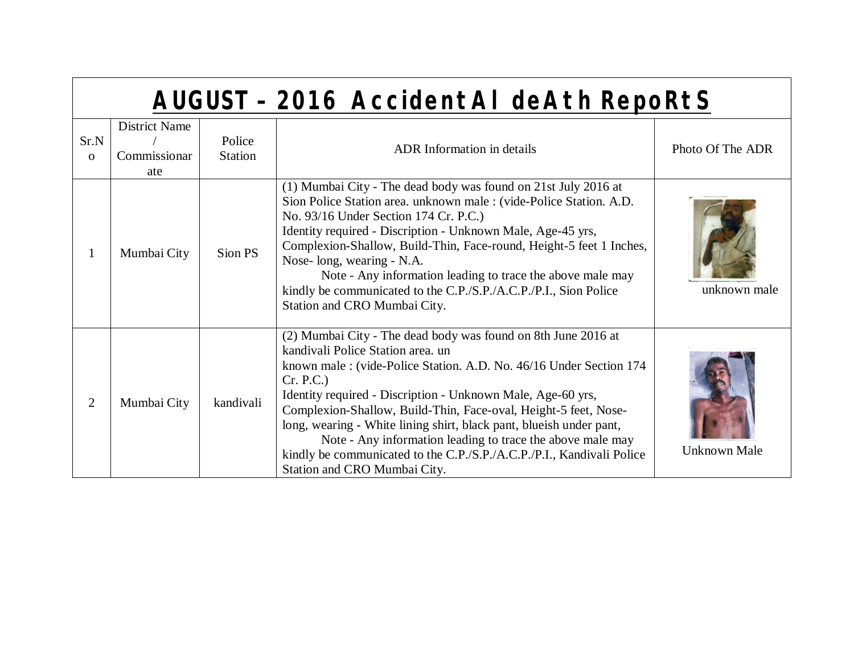## **AUGUST – 2016 AccidentAl deAth RepoRtS**

| Sr.N<br>$\Omega$ | <b>District Name</b><br>Commissionar<br>ate | Police<br><b>Station</b> | <b>ADR</b> Information in details                                                                                                                                                                                                                                                                                                                                                                                                                                                                                                                                    | Photo Of The ADR    |
|------------------|---------------------------------------------|--------------------------|----------------------------------------------------------------------------------------------------------------------------------------------------------------------------------------------------------------------------------------------------------------------------------------------------------------------------------------------------------------------------------------------------------------------------------------------------------------------------------------------------------------------------------------------------------------------|---------------------|
|                  | Mumbai City                                 | Sion PS                  | (1) Mumbai City - The dead body was found on 21st July 2016 at<br>Sion Police Station area. unknown male: (vide-Police Station. A.D.<br>No. 93/16 Under Section 174 Cr. P.C.)<br>Identity required - Discription - Unknown Male, Age-45 yrs,<br>Complexion-Shallow, Build-Thin, Face-round, Height-5 feet 1 Inches,<br>Nose-long, wearing - N.A.<br>Note - Any information leading to trace the above male may<br>kindly be communicated to the C.P./S.P./A.C.P./P.I., Sion Police<br>Station and CRO Mumbai City.                                                   | unknown male        |
| 2                | Mumbai City                                 | kandivali                | (2) Mumbai City - The dead body was found on 8th June 2016 at<br>kandivali Police Station area. un<br>known male: (vide-Police Station. A.D. No. 46/16 Under Section 174<br>Cr. P.C.<br>Identity required - Discription - Unknown Male, Age-60 yrs,<br>Complexion-Shallow, Build-Thin, Face-oval, Height-5 feet, Nose-<br>long, wearing - White lining shirt, black pant, blueish under pant,<br>Note - Any information leading to trace the above male may<br>kindly be communicated to the C.P./S.P./A.C.P./P.I., Kandivali Police<br>Station and CRO Mumbai City. | <b>Unknown Male</b> |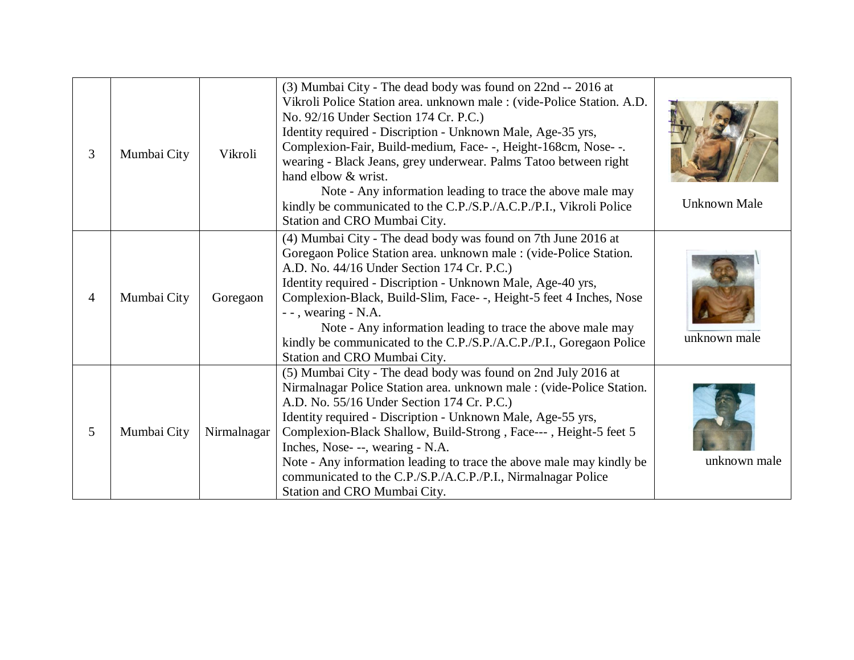| 3              | Mumbai City | Vikroli     | (3) Mumbai City - The dead body was found on 22nd -- 2016 at<br>Vikroli Police Station area. unknown male : (vide-Police Station. A.D.<br>No. 92/16 Under Section 174 Cr. P.C.)<br>Identity required - Discription - Unknown Male, Age-35 yrs,<br>Complexion-Fair, Build-medium, Face--, Height-168cm, Nose--.<br>wearing - Black Jeans, grey underwear. Palms Tatoo between right<br>hand elbow & wrist.<br>Note - Any information leading to trace the above male may<br>kindly be communicated to the C.P./S.P./A.C.P./P.I., Vikroli Police<br>Station and CRO Mumbai City. | <b>Unknown Male</b> |
|----------------|-------------|-------------|--------------------------------------------------------------------------------------------------------------------------------------------------------------------------------------------------------------------------------------------------------------------------------------------------------------------------------------------------------------------------------------------------------------------------------------------------------------------------------------------------------------------------------------------------------------------------------|---------------------|
| $\overline{4}$ | Mumbai City | Goregaon    | (4) Mumbai City - The dead body was found on 7th June 2016 at<br>Goregaon Police Station area. unknown male : (vide-Police Station.<br>A.D. No. 44/16 Under Section 174 Cr. P.C.)<br>Identity required - Discription - Unknown Male, Age-40 yrs,<br>Complexion-Black, Build-Slim, Face--, Height-5 feet 4 Inches, Nose<br>$-$ - , wearing $-$ N.A.<br>Note - Any information leading to trace the above male may<br>kindly be communicated to the C.P./S.P./A.C.P./P.I., Goregaon Police<br>Station and CRO Mumbai City.                                                       | unknown male        |
| 5              | Mumbai City | Nirmalnagar | (5) Mumbai City - The dead body was found on 2nd July 2016 at<br>Nirmalnagar Police Station area. unknown male : (vide-Police Station.<br>A.D. No. 55/16 Under Section 174 Cr. P.C.)<br>Identity required - Discription - Unknown Male, Age-55 yrs,<br>Complexion-Black Shallow, Build-Strong, Face---, Height-5 feet 5<br>Inches, Nose- --, wearing - N.A.<br>Note - Any information leading to trace the above male may kindly be<br>communicated to the C.P./S.P./A.C.P./P.I., Nirmalnagar Police<br>Station and CRO Mumbai City.                                           | unknown male        |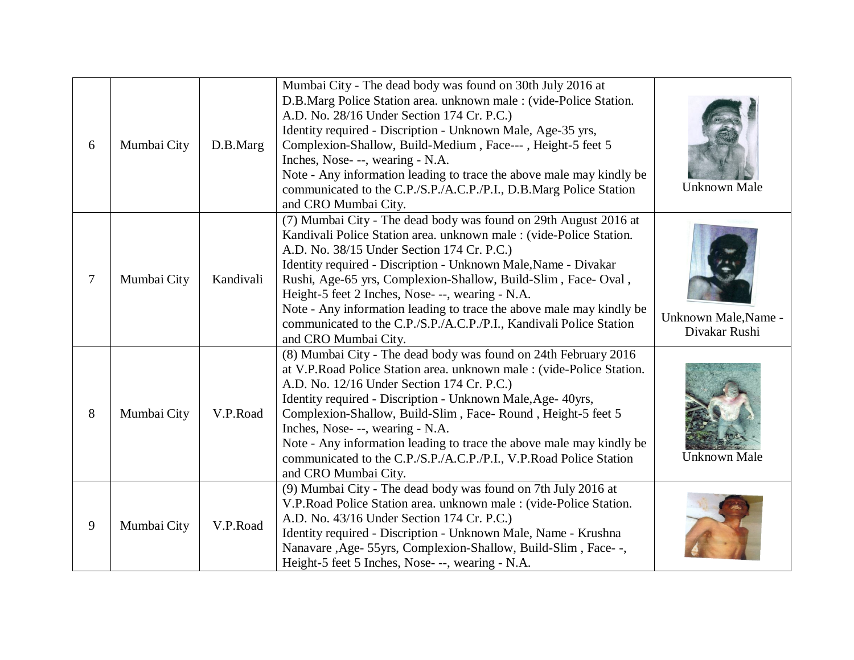| 6 | Mumbai City | D.B.Marg  | Mumbai City - The dead body was found on 30th July 2016 at<br>D.B.Marg Police Station area. unknown male : (vide-Police Station.<br>A.D. No. 28/16 Under Section 174 Cr. P.C.)<br>Identity required - Discription - Unknown Male, Age-35 yrs,<br>Complexion-Shallow, Build-Medium, Face---, Height-5 feet 5<br>Inches, Nose- --, wearing - N.A.<br>Note - Any information leading to trace the above male may kindly be<br>communicated to the C.P./S.P./A.C.P./P.I., D.B.Marg Police Station<br>and CRO Mumbai City.                             | <b>Unknown Male</b>                   |
|---|-------------|-----------|---------------------------------------------------------------------------------------------------------------------------------------------------------------------------------------------------------------------------------------------------------------------------------------------------------------------------------------------------------------------------------------------------------------------------------------------------------------------------------------------------------------------------------------------------|---------------------------------------|
| 7 | Mumbai City | Kandivali | (7) Mumbai City - The dead body was found on 29th August 2016 at<br>Kandivali Police Station area. unknown male: (vide-Police Station.<br>A.D. No. 38/15 Under Section 174 Cr. P.C.)<br>Identity required - Discription - Unknown Male, Name - Divakar<br>Rushi, Age-65 yrs, Complexion-Shallow, Build-Slim, Face-Oval,<br>Height-5 feet 2 Inches, Nose---, wearing - N.A.<br>Note - Any information leading to trace the above male may kindly be<br>communicated to the C.P./S.P./A.C.P./P.I., Kandivali Police Station<br>and CRO Mumbai City. | Unknown Male, Name -<br>Divakar Rushi |
| 8 | Mumbai City | V.P.Road  | (8) Mumbai City - The dead body was found on 24th February 2016<br>at V.P.Road Police Station area. unknown male : (vide-Police Station.<br>A.D. No. 12/16 Under Section 174 Cr. P.C.)<br>Identity required - Discription - Unknown Male, Age- 40yrs,<br>Complexion-Shallow, Build-Slim, Face-Round, Height-5 feet 5<br>Inches, Nose---, wearing - N.A.<br>Note - Any information leading to trace the above male may kindly be<br>communicated to the C.P./S.P./A.C.P./P.I., V.P.Road Police Station<br>and CRO Mumbai City.                     | <b>Unknown Male</b>                   |
| 9 | Mumbai City | V.P.Road  | (9) Mumbai City - The dead body was found on 7th July 2016 at<br>V.P.Road Police Station area. unknown male : (vide-Police Station.<br>A.D. No. 43/16 Under Section 174 Cr. P.C.)<br>Identity required - Discription - Unknown Male, Name - Krushna<br>Nanavare, Age- 55yrs, Complexion-Shallow, Build-Slim, Face--,<br>Height-5 feet 5 Inches, Nose---, wearing - N.A.                                                                                                                                                                           |                                       |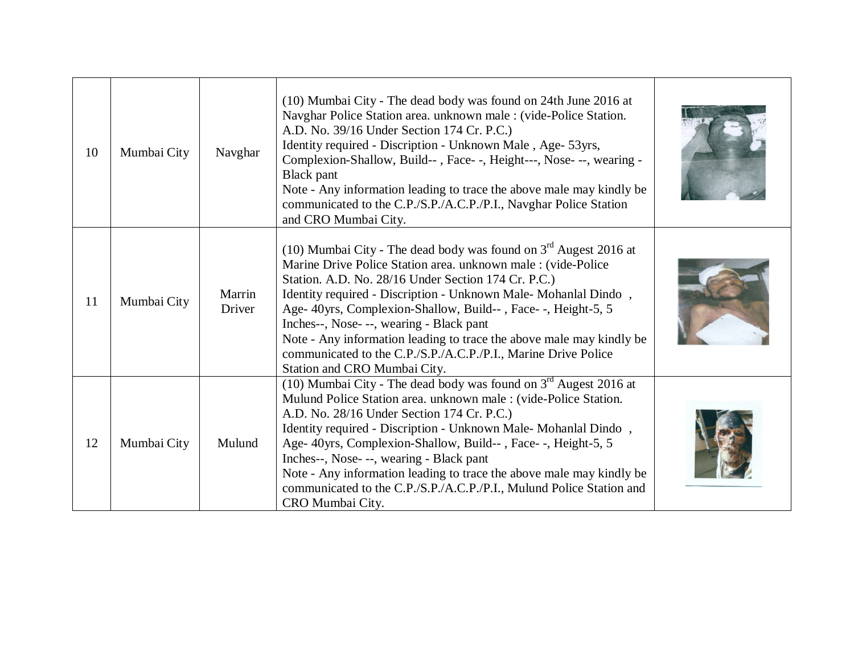| 10 | Mumbai City | Navghar          | (10) Mumbai City - The dead body was found on 24th June 2016 at<br>Navghar Police Station area. unknown male : (vide-Police Station.<br>A.D. No. 39/16 Under Section 174 Cr. P.C.)<br>Identity required - Discription - Unknown Male, Age- 53yrs,<br>Complexion-Shallow, Build--, Face--, Height---, Nose---, wearing -<br><b>Black</b> pant<br>Note - Any information leading to trace the above male may kindly be<br>communicated to the C.P./S.P./A.C.P./P.I., Navghar Police Station<br>and CRO Mumbai City.                                 |  |
|----|-------------|------------------|---------------------------------------------------------------------------------------------------------------------------------------------------------------------------------------------------------------------------------------------------------------------------------------------------------------------------------------------------------------------------------------------------------------------------------------------------------------------------------------------------------------------------------------------------|--|
| 11 | Mumbai City | Marrin<br>Driver | (10) Mumbai City - The dead body was found on $3rd$ Augest 2016 at<br>Marine Drive Police Station area. unknown male: (vide-Police<br>Station. A.D. No. 28/16 Under Section 174 Cr. P.C.)<br>Identity required - Discription - Unknown Male-Mohanlal Dindo,<br>Age- 40yrs, Complexion-Shallow, Build--, Face--, Height-5, 5<br>Inches--, Nose- --, wearing - Black pant<br>Note - Any information leading to trace the above male may kindly be<br>communicated to the C.P./S.P./A.C.P./P.I., Marine Drive Police<br>Station and CRO Mumbai City. |  |
| 12 | Mumbai City | Mulund           | (10) Mumbai City - The dead body was found on $3rd$ Augest 2016 at<br>Mulund Police Station area. unknown male: (vide-Police Station.<br>A.D. No. 28/16 Under Section 174 Cr. P.C.)<br>Identity required - Discription - Unknown Male-Mohanlal Dindo,<br>Age- 40yrs, Complexion-Shallow, Build--, Face--, Height-5, 5<br>Inches--, Nose- --, wearing - Black pant<br>Note - Any information leading to trace the above male may kindly be<br>communicated to the C.P./S.P./A.C.P./P.I., Mulund Police Station and<br>CRO Mumbai City.             |  |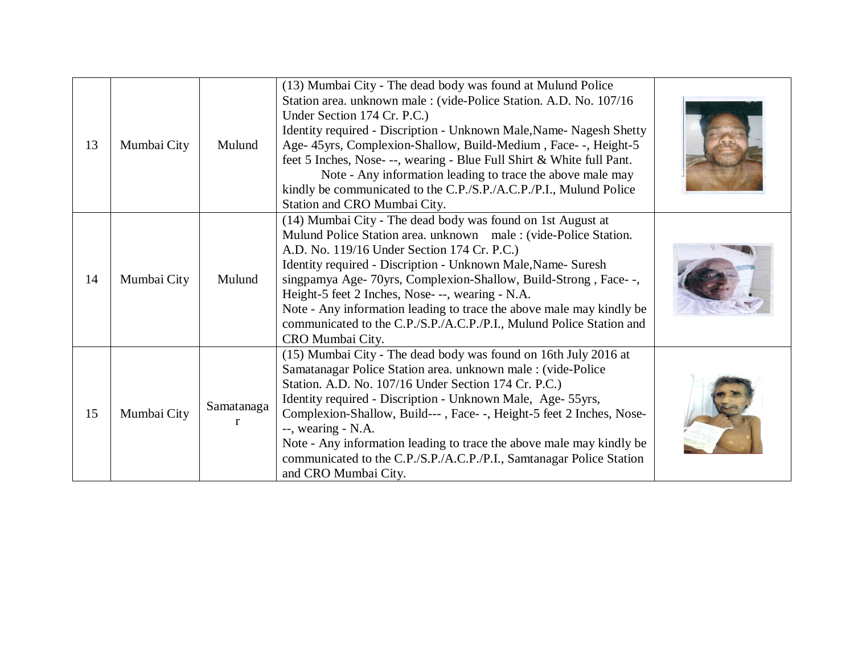| 13 | Mumbai City | Mulund          | (13) Mumbai City - The dead body was found at Mulund Police<br>Station area. unknown male : (vide-Police Station. A.D. No. 107/16<br>Under Section 174 Cr. P.C.)<br>Identity required - Discription - Unknown Male, Name-Nagesh Shetty<br>Age- 45yrs, Complexion-Shallow, Build-Medium, Face--, Height-5<br>feet 5 Inches, Nose- --, wearing - Blue Full Shirt & White full Pant.<br>Note - Any information leading to trace the above male may<br>kindly be communicated to the C.P./S.P./A.C.P./P.I., Mulund Police<br>Station and CRO Mumbai City. |  |
|----|-------------|-----------------|-------------------------------------------------------------------------------------------------------------------------------------------------------------------------------------------------------------------------------------------------------------------------------------------------------------------------------------------------------------------------------------------------------------------------------------------------------------------------------------------------------------------------------------------------------|--|
| 14 | Mumbai City | Mulund          | (14) Mumbai City - The dead body was found on 1st August at<br>Mulund Police Station area. unknown male: (vide-Police Station.<br>A.D. No. 119/16 Under Section 174 Cr. P.C.)<br>Identity required - Discription - Unknown Male, Name- Suresh<br>singpamya Age- 70yrs, Complexion-Shallow, Build-Strong, Face--,<br>Height-5 feet 2 Inches, Nose---, wearing - N.A.<br>Note - Any information leading to trace the above male may kindly be<br>communicated to the C.P./S.P./A.C.P./P.I., Mulund Police Station and<br>CRO Mumbai City.               |  |
| 15 | Mumbai City | Samatanaga<br>r | (15) Mumbai City - The dead body was found on 16th July 2016 at<br>Samatanagar Police Station area. unknown male : (vide-Police<br>Station. A.D. No. 107/16 Under Section 174 Cr. P.C.)<br>Identity required - Discription - Unknown Male, Age- 55yrs,<br>Complexion-Shallow, Build---, Face--, Height-5 feet 2 Inches, Nose-<br>--, wearing - N.A.<br>Note - Any information leading to trace the above male may kindly be<br>communicated to the C.P./S.P./A.C.P./P.I., Samtanagar Police Station<br>and CRO Mumbai City.                           |  |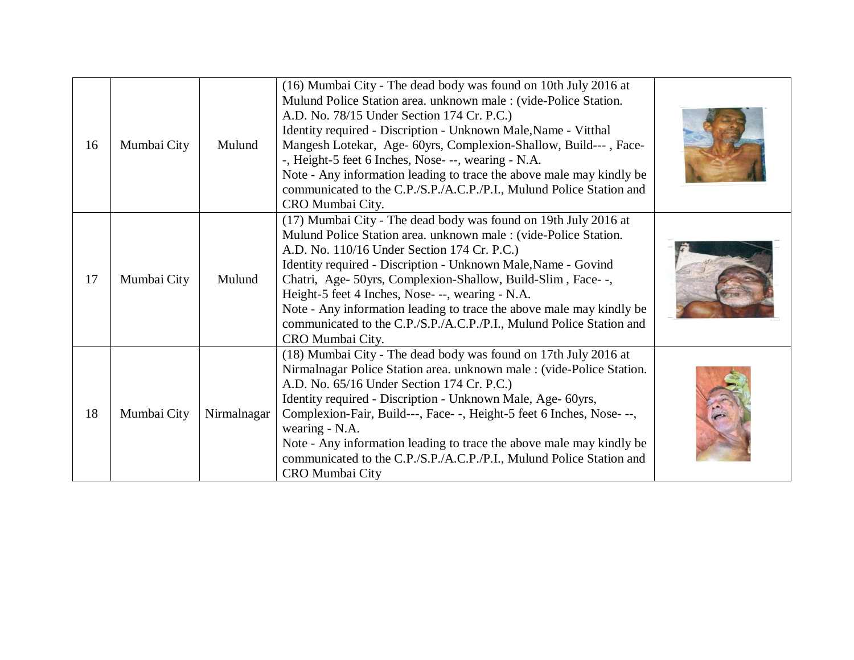| 16 | Mumbai City | Mulund      | (16) Mumbai City - The dead body was found on 10th July 2016 at<br>Mulund Police Station area. unknown male: (vide-Police Station.<br>A.D. No. 78/15 Under Section 174 Cr. P.C.)<br>Identity required - Discription - Unknown Male, Name - Vitthal<br>Mangesh Lotekar, Age- 60yrs, Complexion-Shallow, Build---, Face-<br>-, Height-5 feet 6 Inches, Nose- --, wearing - N.A.<br>Note - Any information leading to trace the above male may kindly be<br>communicated to the C.P./S.P./A.C.P./P.I., Mulund Police Station and<br>CRO Mumbai City. |  |
|----|-------------|-------------|---------------------------------------------------------------------------------------------------------------------------------------------------------------------------------------------------------------------------------------------------------------------------------------------------------------------------------------------------------------------------------------------------------------------------------------------------------------------------------------------------------------------------------------------------|--|
| 17 | Mumbai City | Mulund      | (17) Mumbai City - The dead body was found on 19th July 2016 at<br>Mulund Police Station area. unknown male: (vide-Police Station.<br>A.D. No. 110/16 Under Section 174 Cr. P.C.)<br>Identity required - Discription - Unknown Male, Name - Govind<br>Chatri, Age- 50yrs, Complexion-Shallow, Build-Slim, Face--,<br>Height-5 feet 4 Inches, Nose- --, wearing - N.A.<br>Note - Any information leading to trace the above male may kindly be<br>communicated to the C.P./S.P./A.C.P./P.I., Mulund Police Station and<br>CRO Mumbai City.         |  |
| 18 | Mumbai City | Nirmalnagar | (18) Mumbai City - The dead body was found on 17th July 2016 at<br>Nirmalnagar Police Station area. unknown male : (vide-Police Station.<br>A.D. No. 65/16 Under Section 174 Cr. P.C.)<br>Identity required - Discription - Unknown Male, Age- 60yrs,<br>Complexion-Fair, Build---, Face--, Height-5 feet 6 Inches, Nose---,<br>wearing - N.A.<br>Note - Any information leading to trace the above male may kindly be<br>communicated to the C.P./S.P./A.C.P./P.I., Mulund Police Station and<br>CRO Mumbai City                                 |  |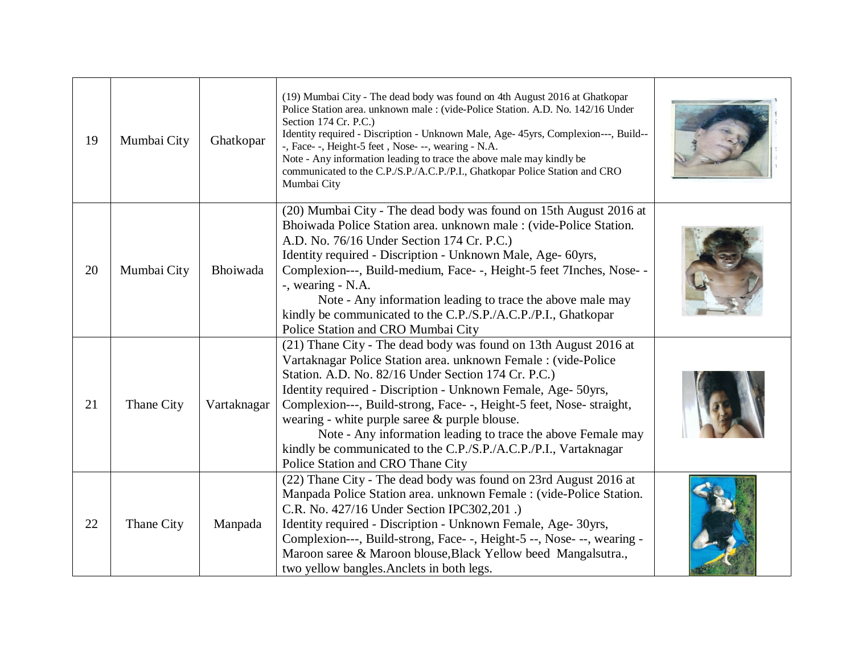| 19 | Mumbai City | Ghatkopar   | (19) Mumbai City - The dead body was found on 4th August 2016 at Ghatkopar<br>Police Station area. unknown male : (vide-Police Station. A.D. No. 142/16 Under<br>Section 174 Cr. P.C.)<br>Identity required - Discription - Unknown Male, Age- 45yrs, Complexion---, Build--<br>-, Face--, Height-5 feet, Nose---, wearing - N.A.<br>Note - Any information leading to trace the above male may kindly be<br>communicated to the C.P./S.P./A.C.P./P.I., Ghatkopar Police Station and CRO<br>Mumbai City                                                        |  |
|----|-------------|-------------|----------------------------------------------------------------------------------------------------------------------------------------------------------------------------------------------------------------------------------------------------------------------------------------------------------------------------------------------------------------------------------------------------------------------------------------------------------------------------------------------------------------------------------------------------------------|--|
| 20 | Mumbai City | Bhoiwada    | (20) Mumbai City - The dead body was found on 15th August 2016 at<br>Bhoiwada Police Station area. unknown male : (vide-Police Station.<br>A.D. No. 76/16 Under Section 174 Cr. P.C.)<br>Identity required - Discription - Unknown Male, Age- 60yrs,<br>Complexion---, Build-medium, Face--, Height-5 feet 7Inches, Nose--<br>-, wearing - N.A.<br>Note - Any information leading to trace the above male may<br>kindly be communicated to the C.P./S.P./A.C.P./P.I., Ghatkopar<br>Police Station and CRO Mumbai City                                          |  |
| 21 | Thane City  | Vartaknagar | (21) Thane City - The dead body was found on 13th August 2016 at<br>Vartaknagar Police Station area. unknown Female : (vide-Police<br>Station. A.D. No. 82/16 Under Section 174 Cr. P.C.)<br>Identity required - Discription - Unknown Female, Age- 50yrs,<br>Complexion---, Build-strong, Face--, Height-5 feet, Nose- straight,<br>wearing - white purple saree $\&$ purple blouse.<br>Note - Any information leading to trace the above Female may<br>kindly be communicated to the C.P./S.P./A.C.P./P.I., Vartaknagar<br>Police Station and CRO Thane City |  |
| 22 | Thane City  | Manpada     | (22) Thane City - The dead body was found on 23rd August 2016 at<br>Manpada Police Station area. unknown Female : (vide-Police Station.<br>C.R. No. 427/16 Under Section IPC302,201.)<br>Identity required - Discription - Unknown Female, Age- 30yrs,<br>Complexion---, Build-strong, Face--, Height-5--, Nose---, wearing -<br>Maroon saree & Maroon blouse, Black Yellow beed Mangalsutra.,<br>two yellow bangles. Anclets in both legs.                                                                                                                    |  |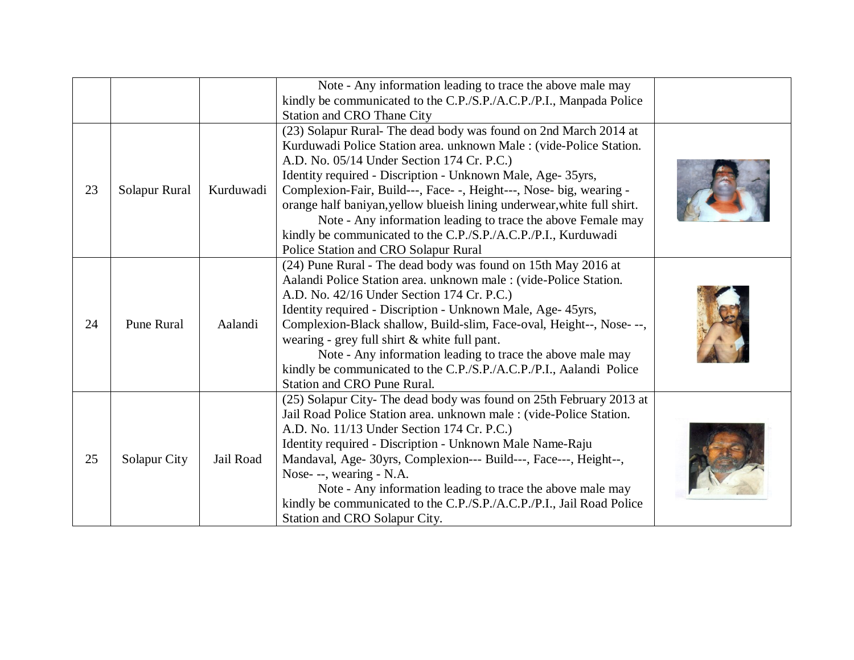|    |                   |           | Note - Any information leading to trace the above male may              |  |
|----|-------------------|-----------|-------------------------------------------------------------------------|--|
|    |                   |           | kindly be communicated to the C.P./S.P./A.C.P./P.I., Manpada Police     |  |
|    |                   |           | <b>Station and CRO Thane City</b>                                       |  |
|    |                   |           | (23) Solapur Rural- The dead body was found on 2nd March 2014 at        |  |
|    |                   |           | Kurduwadi Police Station area. unknown Male: (vide-Police Station.      |  |
|    |                   |           | A.D. No. 05/14 Under Section 174 Cr. P.C.)                              |  |
|    |                   |           | Identity required - Discription - Unknown Male, Age- 35yrs,             |  |
| 23 | Solapur Rural     | Kurduwadi | Complexion-Fair, Build---, Face- -, Height---, Nose- big, wearing -     |  |
|    |                   |           | orange half baniyan, yellow blueish lining underwear, white full shirt. |  |
|    |                   |           | Note - Any information leading to trace the above Female may            |  |
|    |                   |           | kindly be communicated to the C.P./S.P./A.C.P./P.I., Kurduwadi          |  |
|    |                   |           | Police Station and CRO Solapur Rural                                    |  |
|    |                   |           | (24) Pune Rural - The dead body was found on 15th May 2016 at           |  |
|    |                   |           | Aalandi Police Station area. unknown male : (vide-Police Station.       |  |
|    |                   |           | A.D. No. 42/16 Under Section 174 Cr. P.C.)                              |  |
|    |                   |           | Identity required - Discription - Unknown Male, Age- 45yrs,             |  |
| 24 | <b>Pune Rural</b> | Aalandi   | Complexion-Black shallow, Build-slim, Face-oval, Height--, Nose---,     |  |
|    |                   |           | wearing - grey full shirt & white full pant.                            |  |
|    |                   |           | Note - Any information leading to trace the above male may              |  |
|    |                   |           | kindly be communicated to the C.P./S.P./A.C.P./P.I., Aalandi Police     |  |
|    |                   |           | <b>Station and CRO Pune Rural.</b>                                      |  |
|    |                   |           | (25) Solapur City-The dead body was found on 25th February 2013 at      |  |
|    |                   |           | Jail Road Police Station area. unknown male: (vide-Police Station.      |  |
|    |                   |           | A.D. No. 11/13 Under Section 174 Cr. P.C.)                              |  |
|    |                   |           | Identity required - Discription - Unknown Male Name-Raju                |  |
| 25 | Solapur City      | Jail Road | Mandaval, Age- 30yrs, Complexion--- Build---, Face---, Height--,        |  |
|    |                   |           | Nose- --, wearing - N.A.                                                |  |
|    |                   |           | Note - Any information leading to trace the above male may              |  |
|    |                   |           | kindly be communicated to the C.P./S.P./A.C.P./P.I., Jail Road Police   |  |
|    |                   |           | Station and CRO Solapur City.                                           |  |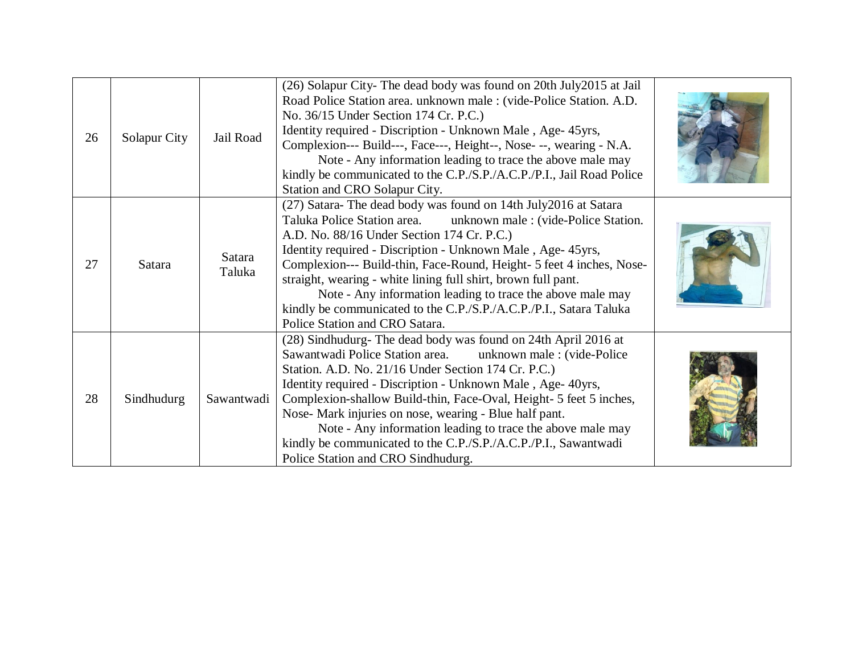| 26 | Solapur City | Jail Road        | (26) Solapur City- The dead body was found on 20th July 2015 at Jail<br>Road Police Station area. unknown male : (vide-Police Station. A.D.<br>No. 36/15 Under Section 174 Cr. P.C.)<br>Identity required - Discription - Unknown Male, Age- 45yrs,<br>Complexion--- Build---, Face---, Height--, Nose- --, wearing - N.A.<br>Note - Any information leading to trace the above male may<br>kindly be communicated to the C.P./S.P./A.C.P./P.I., Jail Road Police<br>Station and CRO Solapur City.                                                             |  |
|----|--------------|------------------|----------------------------------------------------------------------------------------------------------------------------------------------------------------------------------------------------------------------------------------------------------------------------------------------------------------------------------------------------------------------------------------------------------------------------------------------------------------------------------------------------------------------------------------------------------------|--|
| 27 | Satara       | Satara<br>Taluka | (27) Satara-The dead body was found on 14th July2016 at Satara<br>Taluka Police Station area. unknown male : (vide-Police Station.<br>A.D. No. 88/16 Under Section 174 Cr. P.C.)<br>Identity required - Discription - Unknown Male, Age- 45yrs,<br>Complexion--- Build-thin, Face-Round, Height- 5 feet 4 inches, Nose-<br>straight, wearing - white lining full shirt, brown full pant.<br>Note - Any information leading to trace the above male may<br>kindly be communicated to the C.P./S.P./A.C.P./P.I., Satara Taluka<br>Police Station and CRO Satara. |  |
| 28 | Sindhudurg   | Sawantwadi       | (28) Sindhudurg- The dead body was found on 24th April 2016 at<br>unknown male: (vide-Police<br>Sawantwadi Police Station area.<br>Station. A.D. No. 21/16 Under Section 174 Cr. P.C.)<br>Identity required - Discription - Unknown Male, Age- 40yrs,<br>Complexion-shallow Build-thin, Face-Oval, Height- 5 feet 5 inches,<br>Nose- Mark injuries on nose, wearing - Blue half pant.<br>Note - Any information leading to trace the above male may<br>kindly be communicated to the C.P./S.P./A.C.P./P.I., Sawantwadi<br>Police Station and CRO Sindhudurg.   |  |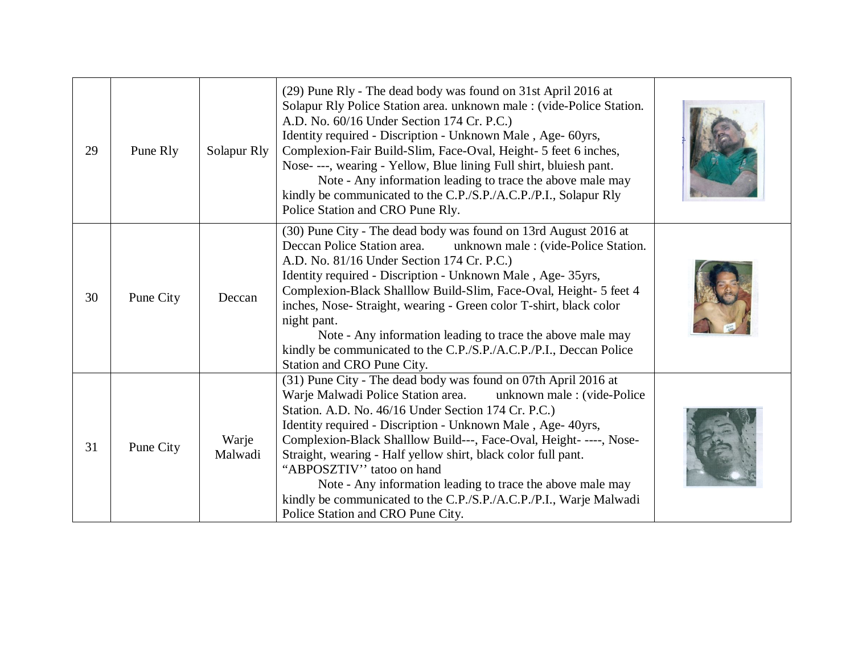| 29 | Pune Rly  | Solapur Rly      | (29) Pune Rly - The dead body was found on 31st April 2016 at<br>Solapur Rly Police Station area. unknown male : (vide-Police Station.<br>A.D. No. 60/16 Under Section 174 Cr. P.C.)<br>Identity required - Discription - Unknown Male, Age- 60yrs,<br>Complexion-Fair Build-Slim, Face-Oval, Height- 5 feet 6 inches,<br>Nose- ---, wearing - Yellow, Blue lining Full shirt, bluiesh pant.<br>Note - Any information leading to trace the above male may<br>kindly be communicated to the C.P./S.P./A.C.P./P.I., Solapur Rly<br>Police Station and CRO Pune Rly.                                    |  |
|----|-----------|------------------|-------------------------------------------------------------------------------------------------------------------------------------------------------------------------------------------------------------------------------------------------------------------------------------------------------------------------------------------------------------------------------------------------------------------------------------------------------------------------------------------------------------------------------------------------------------------------------------------------------|--|
| 30 | Pune City | Deccan           | (30) Pune City - The dead body was found on 13rd August 2016 at<br>unknown male : (vide-Police Station.<br>Deccan Police Station area.<br>A.D. No. 81/16 Under Section 174 Cr. P.C.)<br>Identity required - Discription - Unknown Male, Age- 35yrs,<br>Complexion-Black Shalllow Build-Slim, Face-Oval, Height- 5 feet 4<br>inches, Nose- Straight, wearing - Green color T-shirt, black color<br>night pant.<br>Note - Any information leading to trace the above male may<br>kindly be communicated to the C.P./S.P./A.C.P./P.I., Deccan Police<br>Station and CRO Pune City.                       |  |
| 31 | Pune City | Warje<br>Malwadi | (31) Pune City - The dead body was found on 07th April 2016 at<br>Warje Malwadi Police Station area.<br>unknown male: (vide-Police<br>Station. A.D. No. 46/16 Under Section 174 Cr. P.C.)<br>Identity required - Discription - Unknown Male, Age- 40yrs,<br>Complexion-Black Shalllow Build---, Face-Oval, Height- ----, Nose-<br>Straight, wearing - Half yellow shirt, black color full pant.<br>"ABPOSZTIV" tatoo on hand<br>Note - Any information leading to trace the above male may<br>kindly be communicated to the C.P./S.P./A.C.P./P.I., Warje Malwadi<br>Police Station and CRO Pune City. |  |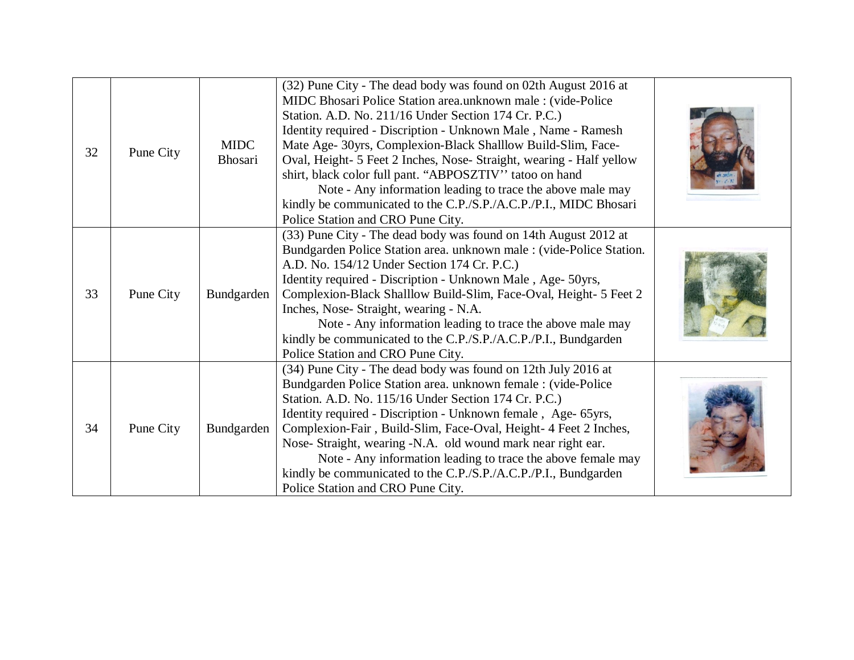| 32 | Pune City | <b>MIDC</b><br>Bhosari | (32) Pune City - The dead body was found on 02th August 2016 at<br>MIDC Bhosari Police Station area.unknown male : (vide-Police<br>Station. A.D. No. 211/16 Under Section 174 Cr. P.C.)<br>Identity required - Discription - Unknown Male, Name - Ramesh<br>Mate Age- 30yrs, Complexion-Black Shalllow Build-Slim, Face-<br>Oval, Height- 5 Feet 2 Inches, Nose- Straight, wearing - Half yellow<br>shirt, black color full pant. "ABPOSZTIV" tatoo on hand<br>Note - Any information leading to trace the above male may<br>kindly be communicated to the C.P./S.P./A.C.P./P.I., MIDC Bhosari<br>Police Station and CRO Pune City. |  |
|----|-----------|------------------------|-------------------------------------------------------------------------------------------------------------------------------------------------------------------------------------------------------------------------------------------------------------------------------------------------------------------------------------------------------------------------------------------------------------------------------------------------------------------------------------------------------------------------------------------------------------------------------------------------------------------------------------|--|
| 33 | Pune City | Bundgarden             | (33) Pune City - The dead body was found on 14th August 2012 at<br>Bundgarden Police Station area. unknown male : (vide-Police Station.<br>A.D. No. 154/12 Under Section 174 Cr. P.C.)<br>Identity required - Discription - Unknown Male, Age- 50yrs,<br>Complexion-Black Shalllow Build-Slim, Face-Oval, Height- 5 Feet 2<br>Inches, Nose-Straight, wearing - N.A.<br>Note - Any information leading to trace the above male may<br>kindly be communicated to the C.P./S.P./A.C.P./P.I., Bundgarden<br>Police Station and CRO Pune City.                                                                                           |  |
| 34 | Pune City | Bundgarden             | (34) Pune City - The dead body was found on 12th July 2016 at<br>Bundgarden Police Station area. unknown female : (vide-Police<br>Station. A.D. No. 115/16 Under Section 174 Cr. P.C.)<br>Identity required - Discription - Unknown female, Age- 65yrs,<br>Complexion-Fair, Build-Slim, Face-Oval, Height- 4 Feet 2 Inches,<br>Nose- Straight, wearing -N.A. old wound mark near right ear.<br>Note - Any information leading to trace the above female may<br>kindly be communicated to the C.P./S.P./A.C.P./P.I., Bundgarden<br>Police Station and CRO Pune City.                                                                 |  |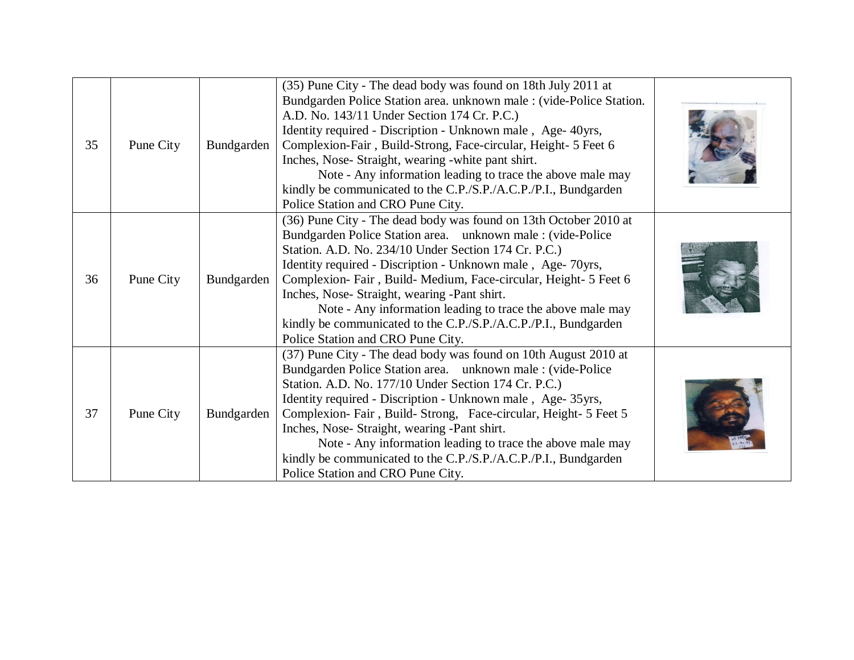| 35 | Pune City | Bundgarden | (35) Pune City - The dead body was found on 18th July 2011 at<br>Bundgarden Police Station area. unknown male : (vide-Police Station.<br>A.D. No. 143/11 Under Section 174 Cr. P.C.)<br>Identity required - Discription - Unknown male, Age- 40yrs,<br>Complexion-Fair, Build-Strong, Face-circular, Height- 5 Feet 6<br>Inches, Nose- Straight, wearing -white pant shirt.<br>Note - Any information leading to trace the above male may<br>kindly be communicated to the C.P./S.P./A.C.P./P.I., Bundgarden<br>Police Station and CRO Pune City. |  |
|----|-----------|------------|---------------------------------------------------------------------------------------------------------------------------------------------------------------------------------------------------------------------------------------------------------------------------------------------------------------------------------------------------------------------------------------------------------------------------------------------------------------------------------------------------------------------------------------------------|--|
| 36 | Pune City | Bundgarden | (36) Pune City - The dead body was found on 13th October 2010 at<br>Bundgarden Police Station area. unknown male : (vide-Police<br>Station. A.D. No. 234/10 Under Section 174 Cr. P.C.)<br>Identity required - Discription - Unknown male, Age-70yrs,<br>Complexion-Fair, Build-Medium, Face-circular, Height- 5 Feet 6<br>Inches, Nose- Straight, wearing -Pant shirt.<br>Note - Any information leading to trace the above male may<br>kindly be communicated to the C.P./S.P./A.C.P./P.I., Bundgarden<br>Police Station and CRO Pune City.     |  |
| 37 | Pune City | Bundgarden | (37) Pune City - The dead body was found on 10th August 2010 at<br>Bundgarden Police Station area. unknown male : (vide-Police<br>Station. A.D. No. 177/10 Under Section 174 Cr. P.C.)<br>Identity required - Discription - Unknown male, Age- 35yrs,<br>Complexion-Fair, Build-Strong, Face-circular, Height- 5 Feet 5<br>Inches, Nose- Straight, wearing -Pant shirt.<br>Note - Any information leading to trace the above male may<br>kindly be communicated to the C.P./S.P./A.C.P./P.I., Bundgarden<br>Police Station and CRO Pune City.     |  |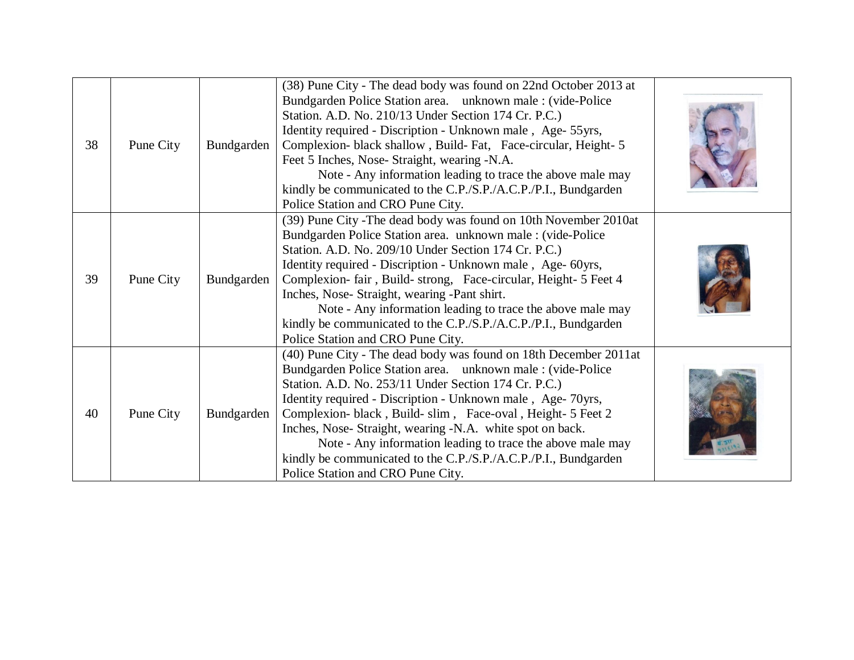| 38 | Pune City | Bundgarden | (38) Pune City - The dead body was found on 22nd October 2013 at<br>Bundgarden Police Station area. unknown male : (vide-Police<br>Station. A.D. No. 210/13 Under Section 174 Cr. P.C.)<br>Identity required - Discription - Unknown male, Age- 55yrs,<br>Complexion- black shallow, Build-Fat, Face-circular, Height-5<br>Feet 5 Inches, Nose-Straight, wearing -N.A.<br>Note - Any information leading to trace the above male may<br>kindly be communicated to the C.P./S.P./A.C.P./P.I., Bundgarden<br>Police Station and CRO Pune City.          |  |
|----|-----------|------------|-------------------------------------------------------------------------------------------------------------------------------------------------------------------------------------------------------------------------------------------------------------------------------------------------------------------------------------------------------------------------------------------------------------------------------------------------------------------------------------------------------------------------------------------------------|--|
| 39 | Pune City | Bundgarden | (39) Pune City - The dead body was found on 10th November 2010at<br>Bundgarden Police Station area. unknown male: (vide-Police<br>Station. A.D. No. 209/10 Under Section 174 Cr. P.C.)<br>Identity required - Discription - Unknown male, Age- 60yrs,<br>Complexion-fair, Build-strong, Face-circular, Height- 5 Feet 4<br>Inches, Nose- Straight, wearing -Pant shirt.<br>Note - Any information leading to trace the above male may<br>kindly be communicated to the C.P./S.P./A.C.P./P.I., Bundgarden<br>Police Station and CRO Pune City.         |  |
| 40 | Pune City | Bundgarden | (40) Pune City - The dead body was found on 18th December 2011at<br>Bundgarden Police Station area. unknown male : (vide-Police<br>Station. A.D. No. 253/11 Under Section 174 Cr. P.C.)<br>Identity required - Discription - Unknown male, Age-70yrs,<br>Complexion-black, Build-slim, Face-oval, Height- 5 Feet 2<br>Inches, Nose- Straight, wearing -N.A. white spot on back.<br>Note - Any information leading to trace the above male may<br>kindly be communicated to the C.P./S.P./A.C.P./P.I., Bundgarden<br>Police Station and CRO Pune City. |  |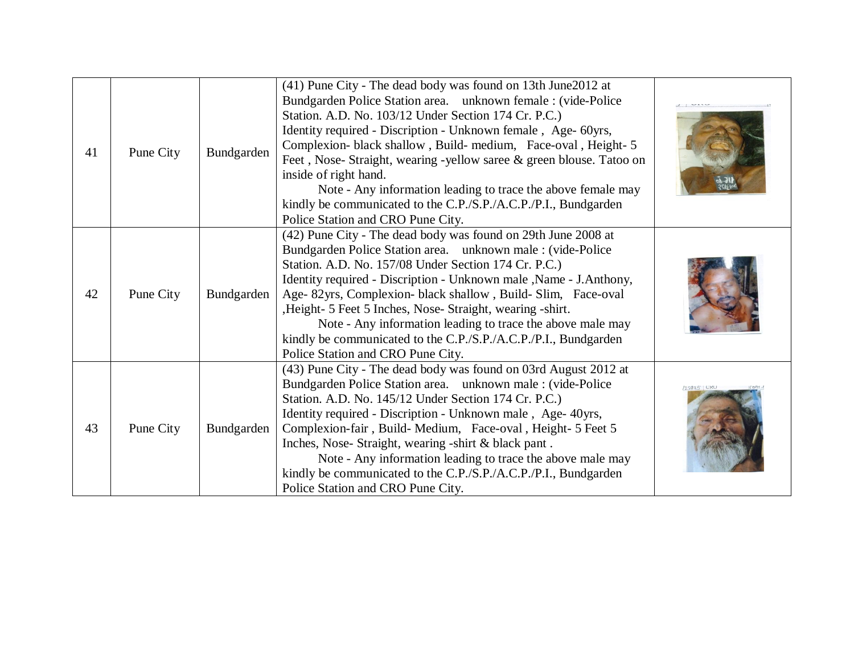| 41 | Pune City | Bundgarden | (41) Pune City - The dead body was found on 13th June2012 at<br>Bundgarden Police Station area. unknown female : (vide-Police<br>Station. A.D. No. 103/12 Under Section 174 Cr. P.C.)<br>Identity required - Discription - Unknown female, Age- 60yrs,<br>Complexion- black shallow, Build- medium, Face-oval, Height- 5<br>Feet, Nose- Straight, wearing -yellow saree & green blouse. Tatoo on<br>inside of right hand.<br>Note - Any information leading to trace the above female may<br>kindly be communicated to the C.P./S.P./A.C.P./P.I., Bundgarden<br>Police Station and CRO Pune City. |         |
|----|-----------|------------|---------------------------------------------------------------------------------------------------------------------------------------------------------------------------------------------------------------------------------------------------------------------------------------------------------------------------------------------------------------------------------------------------------------------------------------------------------------------------------------------------------------------------------------------------------------------------------------------------|---------|
| 42 | Pune City | Bundgarden | (42) Pune City - The dead body was found on 29th June 2008 at<br>Bundgarden Police Station area. unknown male : (vide-Police<br>Station. A.D. No. 157/08 Under Section 174 Cr. P.C.)<br>Identity required - Discription - Unknown male , Name - J. Anthony,<br>Age- 82yrs, Complexion- black shallow, Build- Slim, Face-oval<br>, Height- 5 Feet 5 Inches, Nose- Straight, wearing -shirt.<br>Note - Any information leading to trace the above male may<br>kindly be communicated to the C.P./S.P./A.C.P./P.I., Bundgarden<br>Police Station and CRO Pune City.                                  |         |
| 43 | Pune City | Bundgarden | (43) Pune City - The dead body was found on 03rd August 2012 at<br>Bundgarden Police Station area. unknown male : (vide-Police<br>Station. A.D. No. 145/12 Under Section 174 Cr. P.C.)<br>Identity required - Discription - Unknown male, Age- 40yrs,<br>Complexion-fair, Build-Medium, Face-oval, Height- 5 Feet 5<br>Inches, Nose- Straight, wearing -shirt & black pant.<br>Note - Any information leading to trace the above male may<br>kindly be communicated to the C.P./S.P./A.C.P./P.I., Bundgarden<br>Police Station and CRO Pune City.                                                 | 825 CKU |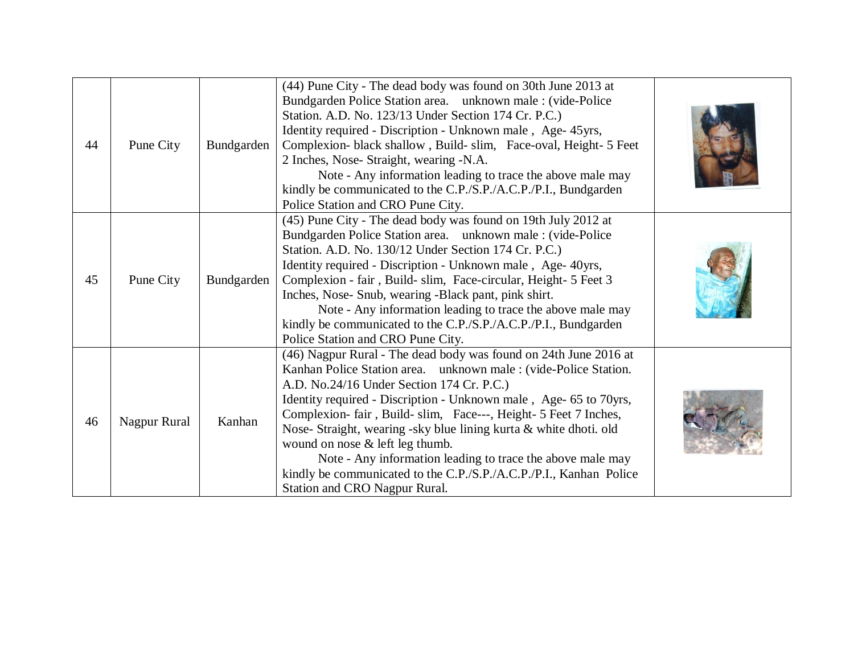| 44 | Pune City    | Bundgarden | (44) Pune City - The dead body was found on 30th June 2013 at<br>Bundgarden Police Station area. unknown male : (vide-Police<br>Station. A.D. No. 123/13 Under Section 174 Cr. P.C.)<br>Identity required - Discription - Unknown male, Age- 45yrs,<br>Complexion- black shallow, Build- slim, Face-oval, Height- 5 Feet<br>2 Inches, Nose- Straight, wearing -N.A.<br>Note - Any information leading to trace the above male may<br>kindly be communicated to the C.P./S.P./A.C.P./P.I., Bundgarden<br>Police Station and CRO Pune City.                                                               |  |
|----|--------------|------------|---------------------------------------------------------------------------------------------------------------------------------------------------------------------------------------------------------------------------------------------------------------------------------------------------------------------------------------------------------------------------------------------------------------------------------------------------------------------------------------------------------------------------------------------------------------------------------------------------------|--|
| 45 | Pune City    | Bundgarden | (45) Pune City - The dead body was found on 19th July 2012 at<br>Bundgarden Police Station area. unknown male : (vide-Police<br>Station. A.D. No. 130/12 Under Section 174 Cr. P.C.)<br>Identity required - Discription - Unknown male, Age- 40yrs,<br>Complexion - fair, Build- slim, Face-circular, Height- 5 Feet 3<br>Inches, Nose- Snub, wearing -Black pant, pink shirt.<br>Note - Any information leading to trace the above male may<br>kindly be communicated to the C.P./S.P./A.C.P./P.I., Bundgarden<br>Police Station and CRO Pune City.                                                    |  |
| 46 | Nagpur Rural | Kanhan     | (46) Nagpur Rural - The dead body was found on 24th June 2016 at<br>Kanhan Police Station area. unknown male : (vide-Police Station.<br>A.D. No.24/16 Under Section 174 Cr. P.C.)<br>Identity required - Discription - Unknown male, Age- 65 to 70yrs,<br>Complexion-fair, Build-slim, Face---, Height- 5 Feet 7 Inches,<br>Nose- Straight, wearing -sky blue lining kurta & white dhoti. old<br>wound on nose $&$ left leg thumb.<br>Note - Any information leading to trace the above male may<br>kindly be communicated to the C.P./S.P./A.C.P./P.I., Kanhan Police<br>Station and CRO Nagpur Rural. |  |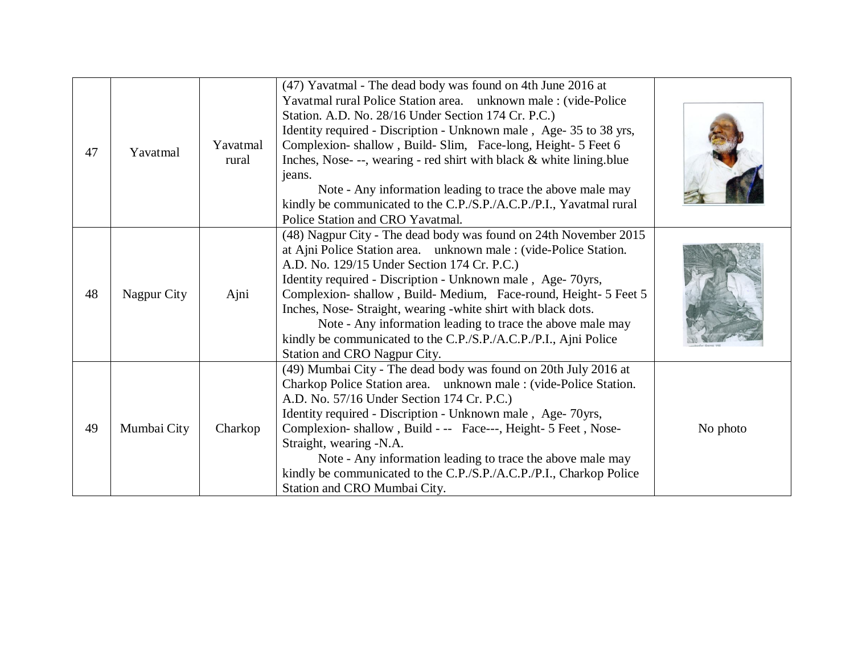| 47 | Yavatmal    | Yavatmal<br>rural | (47) Yavatmal - The dead body was found on 4th June 2016 at<br>Yavatmal rural Police Station area. unknown male : (vide-Police<br>Station. A.D. No. 28/16 Under Section 174 Cr. P.C.)<br>Identity required - Discription - Unknown male, Age- 35 to 38 yrs,<br>Complexion-shallow, Build-Slim, Face-long, Height- 5 Feet 6<br>Inches, Nose---, wearing - red shirt with black & white lining.blue<br>jeans.<br>Note - Any information leading to trace the above male may<br>kindly be communicated to the C.P./S.P./A.C.P./P.I., Yavatmal rural<br>Police Station and CRO Yavatmal. |          |
|----|-------------|-------------------|--------------------------------------------------------------------------------------------------------------------------------------------------------------------------------------------------------------------------------------------------------------------------------------------------------------------------------------------------------------------------------------------------------------------------------------------------------------------------------------------------------------------------------------------------------------------------------------|----------|
| 48 | Nagpur City | Ajni              | (48) Nagpur City - The dead body was found on 24th November 2015<br>at Ajni Police Station area. unknown male : (vide-Police Station.<br>A.D. No. 129/15 Under Section 174 Cr. P.C.)<br>Identity required - Discription - Unknown male, Age-70yrs,<br>Complexion-shallow, Build-Medium, Face-round, Height- 5 Feet 5<br>Inches, Nose- Straight, wearing -white shirt with black dots.<br>Note - Any information leading to trace the above male may<br>kindly be communicated to the C.P./S.P./A.C.P./P.I., Ajni Police<br>Station and CRO Nagpur City.                              |          |
| 49 | Mumbai City | Charkop           | (49) Mumbai City - The dead body was found on 20th July 2016 at<br>Charkop Police Station area. unknown male : (vide-Police Station.<br>A.D. No. 57/16 Under Section 174 Cr. P.C.)<br>Identity required - Discription - Unknown male, Age-70yrs,<br>Complexion-shallow, Build - -- Face---, Height- 5 Feet, Nose-<br>Straight, wearing -N.A.<br>Note - Any information leading to trace the above male may<br>kindly be communicated to the C.P./S.P./A.C.P./P.I., Charkop Police<br>Station and CRO Mumbai City.                                                                    | No photo |